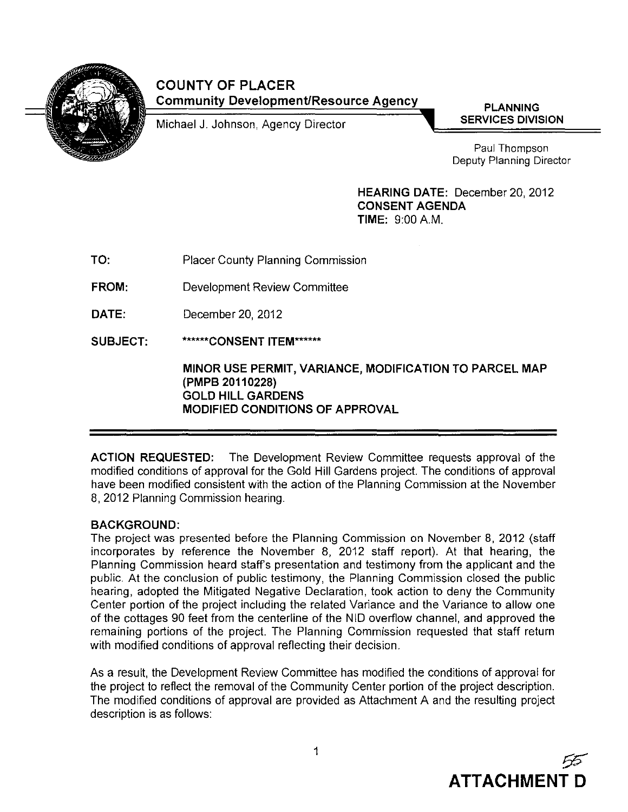

## **COUNTY OF PLACER Community Development/Resource Agency**

Michael J. Johnson, Agency Director

**PLANNING SERVICES DIVISION**

Paul Thompson Deputy Planning Director

**HEARING DATE: December 20, 2012 CONSENT AGENDA TIME:** 9:00 A.M.

| TO:   | <b>Placer County Planning Commission</b> |
|-------|------------------------------------------|
| FROM: | Development Review Committee             |
| DATE: | December 20, 2012                        |

**SUBJECT: \*\*\*\*\*\*CONSENT ITEM\*\*\*\*\*\***

> **MINOR USE PERMIT, VARIANCE, MODIFICATION TO PARCEL MAP (PMPB 20110228) GOLD HILL GARDENS MODIFIED CONDITIONS OF APPROVAL**

**ACTION REQUESTED: The** Development Review Commillee requests approval of the modified conditions of approval for the Gold **Hill** Gardens project. **The** conditions of approval have been modified consistent with the action of the Planning Commission at the November 8,2012 Planning Commission hearing.

## **BACKGROUND:**

**The** project was presented before the Planning Commission on November 8, 2012 (staff incorporates by reference the November 8, 2012 staff report). At that hearing, the Planning Commission heard staffs presentation and testimony from the applicant and the public. At the conclusion of public testimony, the Planning Commission closed the public hearing, adopted the Mitigated Negative Declaration, took action to deny the Community Center portion of the project including the related Variance and the Variance to allow one of the cottages 90 feet from the centerline of the NID overflow channel, and approved the remaining portions of the project. **The** Planning Commission requested that staff return with modified conditions of approval reflecting their decision.

As a result, the Development Review Committee has modified the conditions of approval for the project to reflect the removal of the Community Center portion of the project description. **The** modified conditions of approval are provided as Attachment A and the resulting project description is as follows: